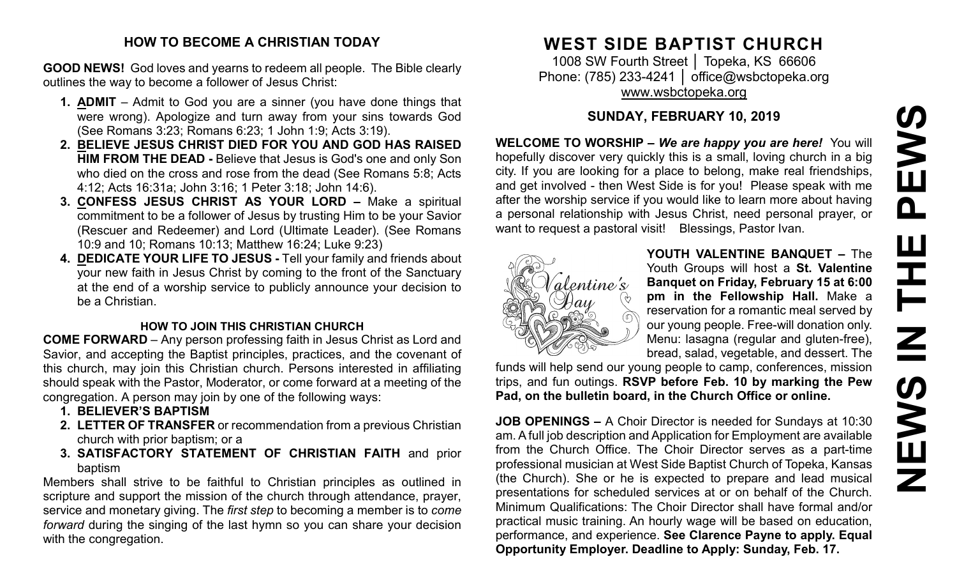# PEWS **NEWS IN THE PEWS**Ш **HH N SWEN**

#### **HOW TO BECOME A CHRISTIAN TODAY**

**GOOD NEWS!** God loves and yearns to redeem all people. The Bible clearly outlines the way to become a follower of Jesus Christ:

- **1. ADMIT** Admit to God you are a sinner (you have done things that were wrong). Apologize and turn away from your sins towards God (See Romans 3:23; Romans 6:23; 1 John 1:9; Acts 3:19).
- **2. BELIEVE JESUS CHRIST DIED FOR YOU AND GOD HAS RAISED HIM FROM THE DEAD -** Believe that Jesus is God's one and only Son who died on the cross and rose from the dead (See Romans 5:8; Acts 4:12; Acts 16:31a; John 3:16; 1 Peter 3:18; John 14:6).
- **3. CONFESS JESUS CHRIST AS YOUR LORD –** Make a spiritual commitment to be a follower of Jesus by trusting Him to be your Savior (Rescuer and Redeemer) and Lord (Ultimate Leader). (See Romans 10:9 and 10; Romans 10:13; Matthew 16:24; Luke 9:23)
- **4. DEDICATE YOUR LIFE TO JESUS -** Tell your family and friends about your new faith in Jesus Christ by coming to the front of the Sanctuary at the end of a worship service to publicly announce your decision to be a Christian.

#### **HOW TO JOIN THIS CHRISTIAN CHURCH**

**COME FORWARD** – Any person professing faith in Jesus Christ as Lord and Savior, and accepting the Baptist principles, practices, and the covenant of this church, may join this Christian church. Persons interested in affiliating should speak with the Pastor, Moderator, or come forward at a meeting of the congregation. A person may join by one of the following ways:

- **1. BELIEVER'S BAPTISM**
- **2. LETTER OF TRANSFER** or recommendation from a previous Christian church with prior baptism; or a
- **3. SATISFACTORY STATEMENT OF CHRISTIAN FAITH** and prior baptism

Members shall strive to be faithful to Christian principles as outlined in scripture and support the mission of the church through attendance, prayer, service and monetary giving. The *first step* to becoming a member is to *come forward* during the singing of the last hymn so you can share your decision with the congregation.

# **WEST SIDE BAPTIST CHURCH**

1008 SW Fourth Street | Topeka, KS 66606 Phone: (785) 233-4241 │ [office@wsbctopeka.org](mailto:office@wsbctopeka.org) [www.wsbctopeka.org](http://www.wsbctopeka.org/)

# **SUNDAY, FEBRUARY 10, 2019**

**WELCOME TO WORSHIP –** *We are happy you are here!* You will hopefully discover very quickly this is a small, loving church in a big city. If you are looking for a place to belong, make real friendships, and get involved - then West Side is for you! Please speak with me after the worship service if you would like to learn more about having a personal relationship with Jesus Christ, need personal prayer, or want to request a pastoral visit! Blessings, Pastor Ivan.



**YOUTH VALENTINE BANQUET –** The Youth Groups will host a **St. Valentine Banquet on Friday, February 15 at 6:00 pm in the Fellowship Hall.** Make a reservation for a romantic meal served by our young people. Free-will donation only. Menu: lasagna (regular and gluten-free), bread, salad, vegetable, and dessert. The

funds will help send our young people to camp, conferences, mission trips, and fun outings. **RSVP before Feb. 10 by marking the Pew Pad, on the bulletin board, in the Church Office or online.**

**JOB OPENINGS –** A Choir Director is needed for Sundays at 10:30 am. A full job description and Application for Employment are available from the Church Office. The Choir Director serves as a part-time professional musician at West Side Baptist Church of Topeka, Kansas (the Church). She or he is expected to prepare and lead musical presentations for scheduled services at or on behalf of the Church. Minimum Qualifications: The Choir Director shall have formal and/or practical music training. An hourly wage will be based on education, performance, and experience. **See Clarence Payne to apply. Equal Opportunity Employer. Deadline to Apply: Sunday, Feb. 17.**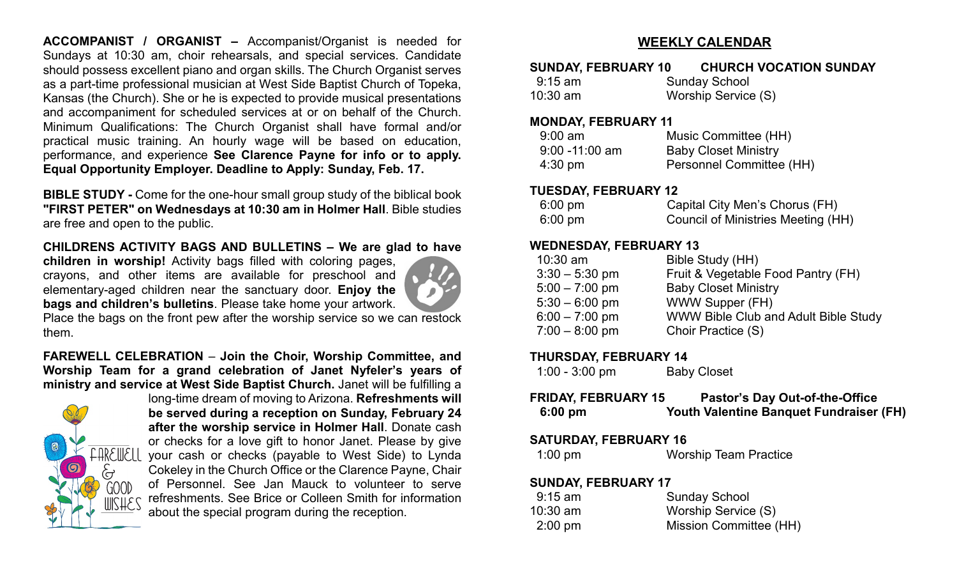**ACCOMPANIST / ORGANIST –** Accompanist/Organist is needed for Sundays at 10:30 am, choir rehearsals, and special services. Candidate should possess excellent piano and organ skills. The Church Organist serves as a part-time professional musician at West Side Baptist Church of Topeka, Kansas (the Church). She or he is expected to provide musical presentations and accompaniment for scheduled services at or on behalf of the Church. Minimum Qualifications: The Church Organist shall have formal and/or practical music training. An hourly wage will be based on education, performance, and experience **See Clarence Payne for info or to apply. Equal Opportunity Employer. Deadline to Apply: Sunday, Feb. 17.** 

**BIBLE STUDY -** Come for the one-hour small group study of the biblical book **"FIRST PETER" on Wednesdays at 10:30 am in Holmer Hall**. Bible studies are free and open to the public.

#### **CHILDRENS ACTIVITY BAGS AND BULLETINS – We are glad to have**

**children in worship!** Activity bags filled with coloring pages, crayons, and other items are available for preschool and elementary-aged children near the sanctuary door. **Enjoy the bags and children's bulletins**. Please take home your artwork.



Place the bags on the front pew after the worship service so we can restock them.

#### **FAREWELL CELEBRATION** – **Join the Choir, Worship Committee, and Worship Team for a grand celebration of Janet Nyfeler's years of ministry and service at West Side Baptist Church.** Janet will be fulfilling a



long-time dream of moving to Arizona. **Refreshments will be served during a reception on Sunday, February 24 after the worship service in Holmer Hall**. Donate cash or checks for a love gift to honor Janet. Please by give your cash or checks (payable to West Side) to Lynda Cokeley in the Church Office or the Clarence Payne, Chair of Personnel. See Jan Mauck to volunteer to serve refreshments. See Brice or Colleen Smith for information about the special program during the reception.

#### **WEEKLY CALENDAR**

| <b>SUNDAY, FEBRUARY 10</b> | <b>CHURCH VOCATION SUNDAY</b> |
|----------------------------|-------------------------------|
| 9:15 am                    | <b>Sunday School</b>          |
| $10:30$ am                 | Worship Service (S)           |

#### **MONDAY, FEBRUARY 11**

| $9:00$ am         | Music Committee (HH)        |
|-------------------|-----------------------------|
| $9:00 - 11:00$ am | <b>Baby Closet Ministry</b> |
| $4:30 \text{ pm}$ | Personnel Committee (HH)    |

#### **TUESDAY, FEBRUARY 12**

| $6:00 \text{ pm}$ | Capital City Men's Chorus (FH)     |
|-------------------|------------------------------------|
| $6:00 \text{ pm}$ | Council of Ministries Meeting (HH) |

#### **WEDNESDAY, FEBRUARY 13**

| $10:30$ am       | Bible Study (HH)                     |
|------------------|--------------------------------------|
| $3:30 - 5:30$ pm | Fruit & Vegetable Food Pantry (FH)   |
| $5:00 - 7:00$ pm | <b>Baby Closet Ministry</b>          |
| $5:30 - 6:00$ pm | WWW Supper (FH)                      |
| $6:00 - 7:00$ pm | WWW Bible Club and Adult Bible Study |
| $7:00 - 8:00$ pm | Choir Practice (S)                   |
|                  |                                      |

#### **THURSDAY, FEBRUARY 14**

| $1:00 - 3:00$ pm | <b>Baby Closet</b> |
|------------------|--------------------|
|------------------|--------------------|

| FRIDAY, FEBRUARY 15 | <b>Pastor's Day Out-of-the-Office</b>   |
|---------------------|-----------------------------------------|
| $6:00 \text{ pm}$   | Youth Valentine Banquet Fundraiser (FH) |

#### **SATURDAY, FEBRUARY 16**

| <b>Worship Team Practice</b><br>$1:00 \text{ pm}$ |
|---------------------------------------------------|
|---------------------------------------------------|

#### **SUNDAY, FEBRUARY 17**

| $9:15$ am         | <b>Sunday School</b>   |
|-------------------|------------------------|
| $10:30$ am        | Worship Service (S)    |
| $2:00 \text{ pm}$ | Mission Committee (HH) |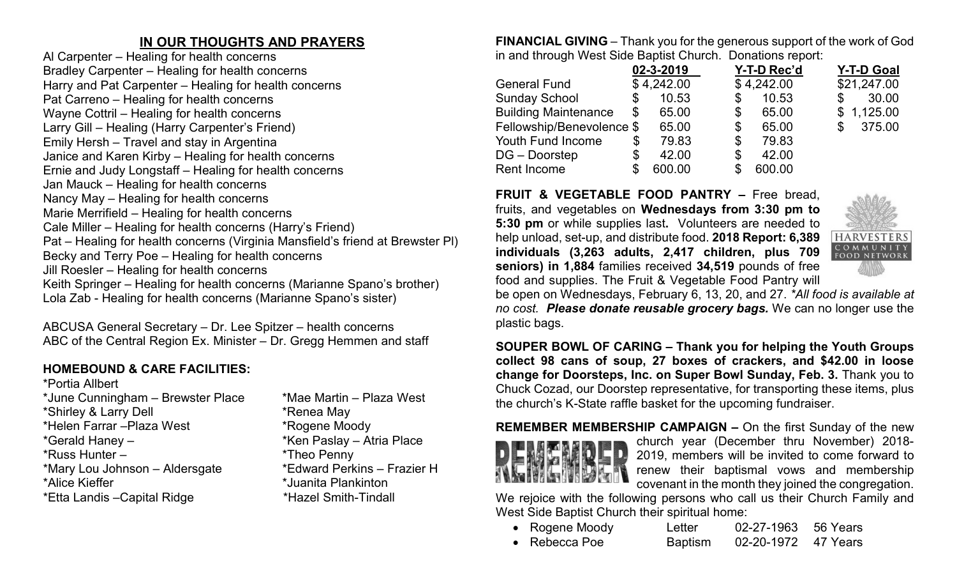### **IN OUR THOUGHTS AND PRAYERS**

Al Carpenter – Healing for health concerns Bradley Carpenter – Healing for health concerns Harry and Pat Carpenter – Healing for health concerns Pat Carreno – Healing for health concerns Wayne Cottril – Healing for health concerns Larry Gill – Healing (Harry Carpenter's Friend) Emily Hersh – Travel and stay in Argentina Janice and Karen Kirby – Healing for health concerns Ernie and Judy Longstaff – Healing for health concerns Jan Mauck – Healing for health concerns Nancy May – Healing for health concerns Marie Merrifield – Healing for health concerns Cale Miller – Healing for health concerns (Harry's Friend) Pat – Healing for health concerns (Virginia Mansfield's friend at Brewster Pl) Becky and Terry Poe – Healing for health concerns Jill Roesler – Healing for health concerns Keith Springer – Healing for health concerns (Marianne Spano's brother) Lola Zab - Healing for health concerns (Marianne Spano's sister)

ABCUSA General Secretary – Dr. Lee Spitzer – health concerns ABC of the Central Region Ex. Minister – Dr. Gregg Hemmen and staff

# **HOMEBOUND & CARE FACILITIES:**

\*Portia Allbert \*June Cunningham – Brewster Place \*Mae Martin – Plaza West \*Shirley & Larry Dell \*Renea May \*Helen Farrar –Plaza West \*Rogene Moody \*Gerald Haney – \* \*Ken Paslay – Atria Place \*Russ Hunter – \*Theo Penny \*Mary Lou Johnson – Aldersgate \*Edward Perkins – Frazier H \*Alice Kieffer \*Juanita Plankinton \*Etta Landis –Capital Ridge \*Hazel Smith-Tindall

- 
- 
- 
- 
- 

**FINANCIAL GIVING** – Thank you for the generous support of the work of God in and through West Side Baptist Church. Donations report:

|                             | 02-3-2019    | Y-T-D Rec'd | <b>Y-T-D Goal</b> |
|-----------------------------|--------------|-------------|-------------------|
| <b>General Fund</b>         | \$4,242.00   | \$4,242.00  | \$21,247.00       |
| <b>Sunday School</b>        | \$<br>10.53  | \$<br>10.53 | 30.00<br>\$       |
| <b>Building Maintenance</b> | \$<br>65.00  | \$<br>65.00 | \$1,125.00        |
| Fellowship/Benevolence \$   | 65.00        | \$<br>65.00 | 375.00<br>\$      |
| <b>Youth Fund Income</b>    | \$<br>79.83  | \$<br>79.83 |                   |
| DG – Doorstep               | \$<br>42.00  | \$<br>42.00 |                   |
| <b>Rent Income</b>          | \$<br>600.00 | 600.00      |                   |

**FRUIT & VEGETABLE FOOD PANTRY –** Free bread, fruits, and vegetables on **Wednesdays from 3:30 pm to 5:30 pm** or while supplies last**.** Volunteers are needed to help unload, set-up, and distribute food. **2018 Report: 6,389 individuals (3,263 adults, 2,417 children, plus 709 seniors) in 1,884** families received **34,519** pounds of free food and supplies. The Fruit & Vegetable Food Pantry will



be open on Wednesdays, February 6, 13, 20, and 27. *\*All food is available at no cost. Please donate reusable grocery bags.* We can no longer use the plastic bags.

**SOUPER BOWL OF CARING – Thank you for helping the Youth Groups collect 98 cans of soup, 27 boxes of crackers, and \$42.00 in loose change for Doorsteps, Inc. on Super Bowl Sunday, Feb. 3.** Thank you to Chuck Cozad, our Doorstep representative, for transporting these items, plus the church's K-State raffle basket for the upcoming fundraiser.



**REMEMBER MEMBERSHIP CAMPAIGN –** On the first Sunday of the new church year (December thru November) 2018- 2019, members will be invited to come forward to renew their baptismal vows and membership covenant in the month they joined the congregation.

We rejoice with the following persons who call us their Church Family and West Side Baptist Church their spiritual home:

| • Rogene Moody        | Letter         | 02-27-1963 56 Years |  |
|-----------------------|----------------|---------------------|--|
| $\bullet$ Rebecca Poe | <b>Baptism</b> | 02-20-1972 47 Years |  |